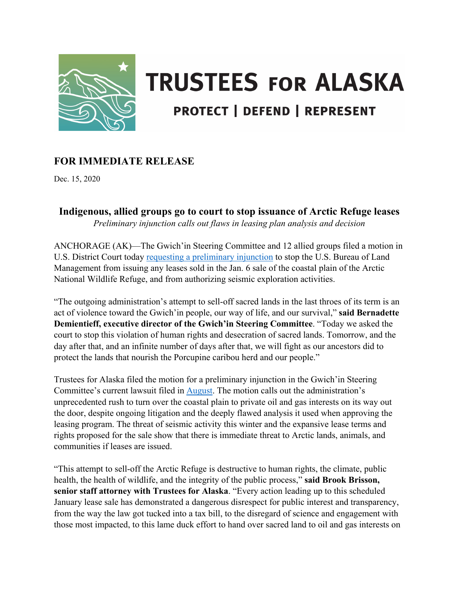

# **TRUSTEES FOR ALASKA PROTECT | DEFEND | REPRESENT**

## **FOR IMMEDIATE RELEASE**

Dec. 15, 2020

## **Indigenous, allied groups go to court to stop issuance of Arctic Refuge leases**

*Preliminary injunction calls out flaws in leasing plan analysis and decision* 

ANCHORAGE (AK)—The Gwich'in Steering Committee and 12 allied groups filed a motion in U.S. District Court today requesting [a preliminary injunction](https://www.trustees.org/wp-content/uploads/2020/12/2020-12-15-Memo-ISO-Plaintiffs-Motion-for-PI-TRO-FINAL.pdf) to stop the U.S. Bureau of Land Management from issuing any leases sold in the Jan. 6 sale of the coastal plain of the Arctic National Wildlife Refuge, and from authorizing seismic exploration activities.

"The outgoing administration's attempt to sell-off sacred lands in the last throes of its term is an act of violence toward the Gwich'in people, our way of life, and our survival," **said Bernadette Demientieff, executive director of the Gwich'in Steering Committee**. "Today we asked the court to stop this violation of human rights and desecration of sacred lands. Tomorrow, and the day after that, and an infinite number of days after that, we will fight as our ancestors did to protect the lands that nourish the Porcupine caribou herd and our people."

Trustees for Alaska filed the motion for a preliminary injunction in the Gwich'in Steering Committee's current lawsuit filed in [August.](https://www.trustees.org/wp-content/uploads/2020/08/2020-08-24-Gwichin-and-allied-groups-sue-Trump-for-illegal-lease-program-in-Arctic-Refuge.pdf) The motion calls out the administration's unprecedented rush to turn over the coastal plain to private oil and gas interests on its way out the door, despite ongoing litigation and the deeply flawed analysis it used when approving the leasing program. The threat of seismic activity this winter and the expansive lease terms and rights proposed for the sale show that there is immediate threat to Arctic lands, animals, and communities if leases are issued.

"This attempt to sell-off the Arctic Refuge is destructive to human rights, the climate, public health, the health of wildlife, and the integrity of the public process," **said Brook Brisson, senior staff attorney with Trustees for Alaska**. "Every action leading up to this scheduled January lease sale has demonstrated a dangerous disrespect for public interest and transparency, from the way the law got tucked into a tax bill, to the disregard of science and engagement with those most impacted, to this lame duck effort to hand over sacred land to oil and gas interests on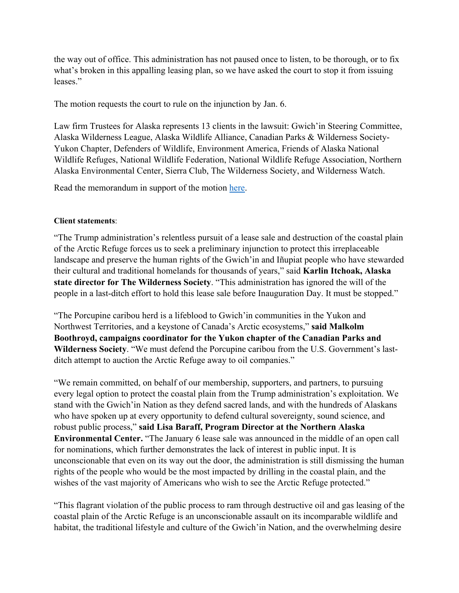the way out of office. This administration has not paused once to listen, to be thorough, or to fix what's broken in this appalling leasing plan, so we have asked the court to stop it from issuing leases."

The motion requests the court to rule on the injunction by Jan. 6.

Law firm Trustees for Alaska represents 13 clients in the lawsuit: Gwich'in Steering Committee, Alaska Wilderness League, Alaska Wildlife Alliance, Canadian Parks & Wilderness Society-Yukon Chapter, Defenders of Wildlife, Environment America, Friends of Alaska National Wildlife Refuges, National Wildlife Federation, National Wildlife Refuge Association, Northern Alaska Environmental Center, Sierra Club, The Wilderness Society, and Wilderness Watch.

Read the memorandum in support of the motion [here.](https://www.trustees.org/wp-content/uploads/2020/12/2020-12-15-Memo-ISO-Plaintiffs-Motion-for-PI-TRO-FINAL.pdf)

### **Client statements**:

"The Trump administration's relentless pursuit of a lease sale and destruction of the coastal plain of the Arctic Refuge forces us to seek a preliminary injunction to protect this irreplaceable landscape and preserve the human rights of the Gwich'in and Iñupiat people who have stewarded their cultural and traditional homelands for thousands of years," said **Karlin Itchoak, Alaska state director for The Wilderness Society**. "This administration has ignored the will of the people in a last-ditch effort to hold this lease sale before Inauguration Day. It must be stopped."

"The Porcupine caribou herd is a lifeblood to Gwich'in communities in the Yukon and Northwest Territories, and a keystone of Canada's Arctic ecosystems," **said Malkolm Boothroyd, campaigns coordinator for the Yukon chapter of the Canadian Parks and Wilderness Society**. "We must defend the Porcupine caribou from the U.S. Government's lastditch attempt to auction the Arctic Refuge away to oil companies."

"We remain committed, on behalf of our membership, supporters, and partners, to pursuing every legal option to protect the coastal plain from the Trump administration's exploitation. We stand with the Gwich'in Nation as they defend sacred lands, and with the hundreds of Alaskans who have spoken up at every opportunity to defend cultural sovereignty, sound science, and robust public process," **said Lisa Baraff, Program Director at the Northern Alaska Environmental Center.** "The January 6 lease sale was announced in the middle of an open call for nominations, which further demonstrates the lack of interest in public input. It is unconscionable that even on its way out the door, the administration is still dismissing the human rights of the people who would be the most impacted by drilling in the coastal plain, and the wishes of the vast majority of Americans who wish to see the Arctic Refuge protected."

"This flagrant violation of the public process to ram through destructive oil and gas leasing of the coastal plain of the Arctic Refuge is an unconscionable assault on its incomparable wildlife and habitat, the traditional lifestyle and culture of the Gwich'in Nation, and the overwhelming desire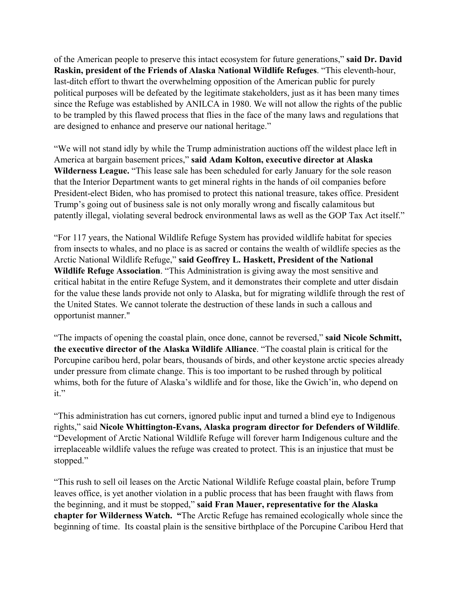of the American people to preserve this intact ecosystem for future generations," **said Dr. David Raskin, president of the Friends of Alaska National Wildlife Refuges**. "This eleventh-hour, last-ditch effort to thwart the overwhelming opposition of the American public for purely political purposes will be defeated by the legitimate stakeholders, just as it has been many times since the Refuge was established by ANILCA in 1980. We will not allow the rights of the public to be trampled by this flawed process that flies in the face of the many laws and regulations that are designed to enhance and preserve our national heritage."

"We will not stand idly by while the Trump administration auctions off the wildest place left in America at bargain basement prices," **said Adam Kolton, executive director at Alaska Wilderness League.** "This lease sale has been scheduled for early January for the sole reason that the Interior Department wants to get mineral rights in the hands of oil companies before President-elect Biden, who has promised to protect this national treasure, takes office. President Trump's going out of business sale is not only morally wrong and fiscally calamitous but patently illegal, violating several bedrock environmental laws as well as the GOP Tax Act itself."

"For 117 years, the National Wildlife Refuge System has provided wildlife habitat for species from insects to whales, and no place is as sacred or contains the wealth of wildlife species as the Arctic National Wildlife Refuge," **said Geoffrey L. Haskett, President of the National Wildlife Refuge Association**. "This Administration is giving away the most sensitive and critical habitat in the entire Refuge System, and it demonstrates their complete and utter disdain for the value these lands provide not only to Alaska, but for migrating wildlife through the rest of the United States. We cannot tolerate the destruction of these lands in such a callous and opportunist manner."

"The impacts of opening the coastal plain, once done, cannot be reversed," **said Nicole Schmitt, the executive director of the Alaska Wildlife Alliance**. "The coastal plain is critical for the Porcupine caribou herd, polar bears, thousands of birds, and other keystone arctic species already under pressure from climate change. This is too important to be rushed through by political whims, both for the future of Alaska's wildlife and for those, like the Gwich'in, who depend on it."

"This administration has cut corners, ignored public input and turned a blind eye to Indigenous rights," said **Nicole Whittington-Evans, Alaska program director for Defenders of Wildlife**. "Development of Arctic National Wildlife Refuge will forever harm Indigenous culture and the irreplaceable wildlife values the refuge was created to protect. This is an injustice that must be stopped."

"This rush to sell oil leases on the Arctic National Wildlife Refuge coastal plain, before Trump leaves office, is yet another violation in a public process that has been fraught with flaws from the beginning, and it must be stopped," **said Fran Mauer, representative for the Alaska chapter for Wilderness Watch. "**The Arctic Refuge has remained ecologically whole since the beginning of time. Its coastal plain is the sensitive birthplace of the Porcupine Caribou Herd that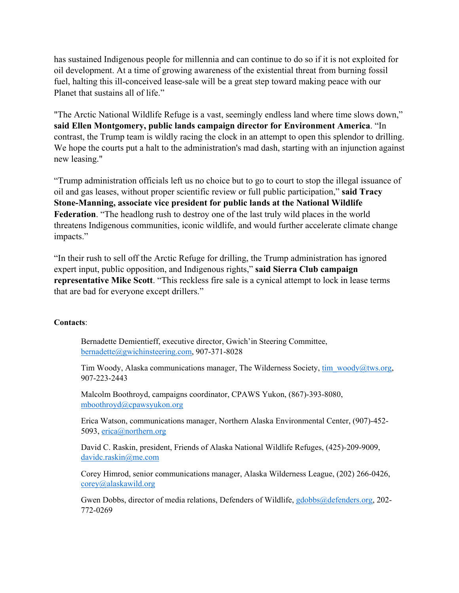has sustained Indigenous people for millennia and can continue to do so if it is not exploited for oil development. At a time of growing awareness of the existential threat from burning fossil fuel, halting this ill-conceived lease-sale will be a great step toward making peace with our Planet that sustains all of life."

"The Arctic National Wildlife Refuge is a vast, seemingly endless land where time slows down," **said Ellen Montgomery, public lands campaign director for Environment America**. "In contrast, the Trump team is wildly racing the clock in an attempt to open this splendor to drilling. We hope the courts put a halt to the administration's mad dash, starting with an injunction against new leasing."

"Trump administration officials left us no choice but to go to court to stop the illegal issuance of oil and gas leases, without proper scientific review or full public participation," **said Tracy Stone-Manning, associate vice president for public lands at the National Wildlife Federation**. "The headlong rush to destroy one of the last truly wild places in the world threatens Indigenous communities, iconic wildlife, and would further accelerate climate change impacts."

"In their rush to sell off the Arctic Refuge for drilling, the Trump administration has ignored expert input, public opposition, and Indigenous rights," **said Sierra Club campaign representative Mike Scott**. "This reckless fire sale is a cynical attempt to lock in lease terms that are bad for everyone except drillers."

#### **Contacts**:

Bernadette Demientieff, executive director, Gwich'in Steering Committee, [bernadette@gwichinsteering.com,](mailto:bernadette@gwichinsteering.com) 907-371-8028

Tim Woody, Alaska communications manager, The Wilderness Society,  $\lim_{M \to \infty} \frac{\text{wody}}{\text{wxy}}$ .org, 907-223-2443

Malcolm Boothroyd, campaigns coordinator, CPAWS Yukon, (867)-393-8080, [mboothroyd@cpawsyukon.org](mailto:mboothroyd@cpawsyukon.org)

Erica Watson, communications manager, Northern Alaska Environmental Center, (907)-452- 5093, [erica@northern.org](mailto:erica@northern.org)

David C. Raskin, president, Friends of Alaska National Wildlife Refuges, (425)-209-9009, [davidc.raskin@me.com](mailto:davidcraskin@me.com)

Corey Himrod, senior communications manager, Alaska Wilderness League, (202) 266-0426, [corey@alaskawild.org](mailto:corey@alaskawild.org)

Gwen Dobbs, director of media relations, Defenders of Wildlife, [gdobbs@defenders.org,](mailto:gdobbs@defenders.org) 202-772-0269